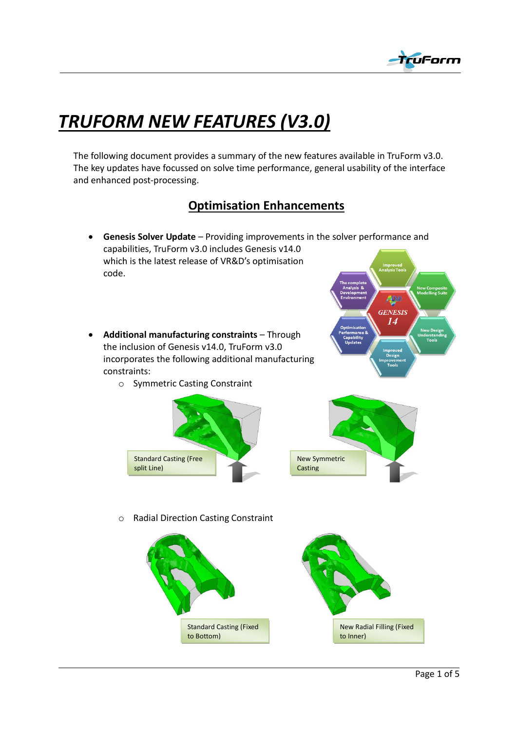

## *TRUFORM NEW FEATURES (V3.0)*

The following document provides a summary of the new features available in TruForm v3.0. The key updates have focussed on solve time performance, general usability of the interface and enhanced post-processing.

## **Optimisation Enhancements**

- **Genesis Solver Update** Providing improvements in the solver performance and capabilities, TruForm v3.0 includes Genesis v14.0 which is the latest release of VR&D's optimisation code.
- x **Additional manufacturing constraints** Through the inclusion of Genesis v14.0, TruForm v3.0 incorporates the following additional manufacturing constraints:
	- o Symmetric Casting Constraint







o Radial Direction Casting Constraint

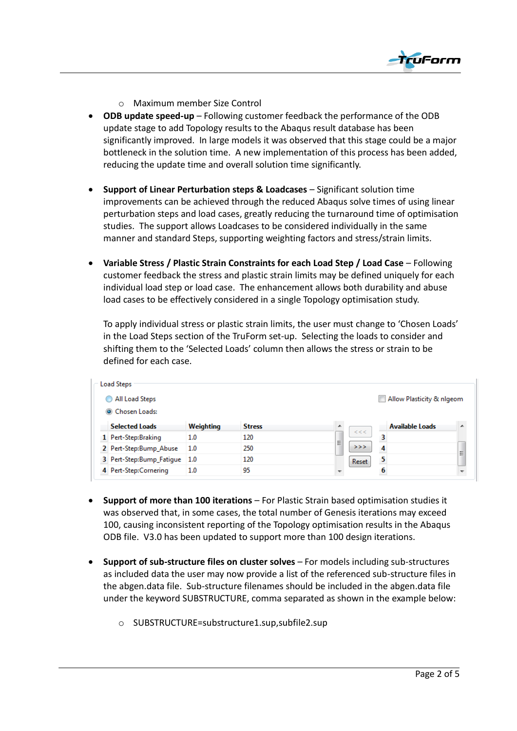

- o Maximum member Size Control
- **ODB update speed-up** Following customer feedback the performance of the ODB update stage to add Topology results to the Abaqus result database has been significantly improved. In large models it was observed that this stage could be a major bottleneck in the solution time. A new implementation of this process has been added, reducing the update time and overall solution time significantly.
- x **Support of Linear Perturbation steps & Loadcases** Significant solution time improvements can be achieved through the reduced Abaqus solve times of using linear perturbation steps and load cases, greatly reducing the turnaround time of optimisation studies. The support allows Loadcases to be considered individually in the same manner and standard Steps, supporting weighting factors and stress/strain limits.
- x **Variable Stress / Plastic Strain Constraints for each Load Step / Load Case** Following customer feedback the stress and plastic strain limits may be defined uniquely for each individual load step or load case. The enhancement allows both durability and abuse load cases to be effectively considered in a single Topology optimisation study.

To apply individual stress or plastic strain limits, the user must change to 'Chosen Loads' in the Load Steps section of the TruForm set-up. Selecting the loads to consider and shifting them to the 'Selected Loads' column then allows the stress or strain to be defined for each case.

| <b>Load Steps</b>            |           |               |            |                           |
|------------------------------|-----------|---------------|------------|---------------------------|
| All Load Steps               |           |               |            | Allow Plasticity & nigeom |
| Chosen Loads:                |           |               |            |                           |
| <b>Selected Loads</b>        | Weighting | <b>Stress</b> | ▲<br>$<<<$ | <b>Available Loads</b>    |
| 1 Pert-Step:Braking          | 1.0       | 120           | Ξ          | з                         |
| 2 Pert-Step:Bump_Abuse       | 1.0       | 250           | >>         | 4<br>Ξ                    |
| 3 Pert-Step:Bump_Fatigue 1.0 |           | 120           | Reset      | $\overline{\mathbf{5}}$   |
| 4 Pert-Step:Cornering        | 1.0       | 95            |            |                           |

- x **Support of more than 100 iterations** For Plastic Strain based optimisation studies it was observed that, in some cases, the total number of Genesis iterations may exceed 100, causing inconsistent reporting of the Topology optimisation results in the Abaqus ODB file. V3.0 has been updated to support more than 100 design iterations.
- x **Support of sub-structure files on cluster solves** For models including sub-structures as included data the user may now provide a list of the referenced sub-structure files in the abgen.data file. Sub-structure filenames should be included in the abgen.data file under the keyword SUBSTRUCTURE, comma separated as shown in the example below:
	- o SUBSTRUCTURE=substructure1.sup,subfile2.sup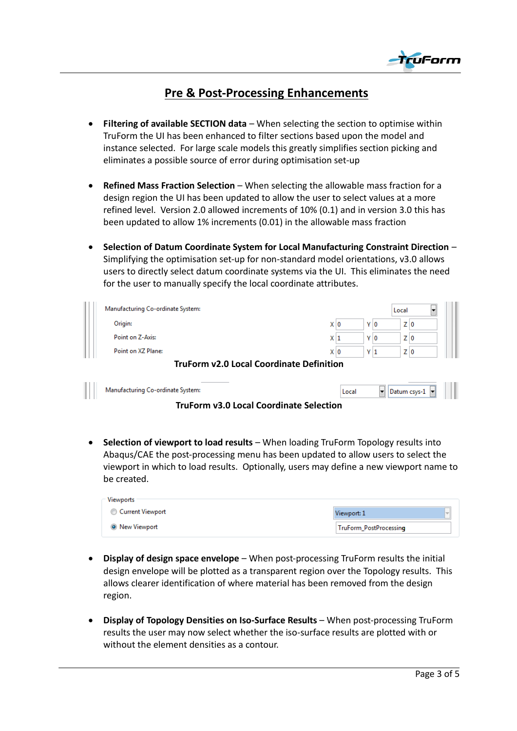

## **Pre & Post-Processing Enhancements**

- **Filtering of available SECTION data** When selecting the section to optimise within TruForm the UI has been enhanced to filter sections based upon the model and instance selected. For large scale models this greatly simplifies section picking and eliminates a possible source of error during optimisation set-up
- **Refined Mass Fraction Selection** When selecting the allowable mass fraction for a design region the UI has been updated to allow the user to select values at a more refined level. Version 2.0 allowed increments of 10% (0.1) and in version 3.0 this has been updated to allow 1% increments (0.01) in the allowable mass fraction
- x **Selection of Datum Coordinate System for Local Manufacturing Constraint Direction** Simplifying the optimisation set-up for non-standard model orientations, v3.0 allows users to directly select datum coordinate systems via the UI. This eliminates the need for the user to manually specify the local coordinate attributes.

| Manufacturing Co-ordinate System:               |       |                             | Local        |  |
|-------------------------------------------------|-------|-----------------------------|--------------|--|
| Origin:                                         | X∣O   | Y 0                         | Z 0          |  |
| Point on Z-Axis:                                | X 1   | Y O                         | Z 0          |  |
| Point on XZ Plane:                              | X I O | Y 1                         | Z 0          |  |
| <b>TruForm v2.0 Local Coordinate Definition</b> |       |                             |              |  |
| Manufacturing Co-ordinate System:               | Local | $\left  \centerdot \right $ | Datum csys-1 |  |

**TruForm v3.0 Local Coordinate Selection**

**• Selection of viewport to load results** – When loading TruForm Topology results into Abaqus/CAE the post-processing menu has been updated to allow users to select the viewport in which to load results. Optionally, users may define a new viewport name to be created.

| Viewports             |                        |
|-----------------------|------------------------|
| Current Viewport      | Viewport: 1            |
| <b>O</b> New Viewport | TruForm_PostProcessing |

- **Display of design space envelope** When post-processing TruForm results the initial design envelope will be plotted as a transparent region over the Topology results. This allows clearer identification of where material has been removed from the design region.
- x **Display of Topology Densities on Iso-Surface Results** When post-processing TruForm results the user may now select whether the iso-surface results are plotted with or without the element densities as a contour.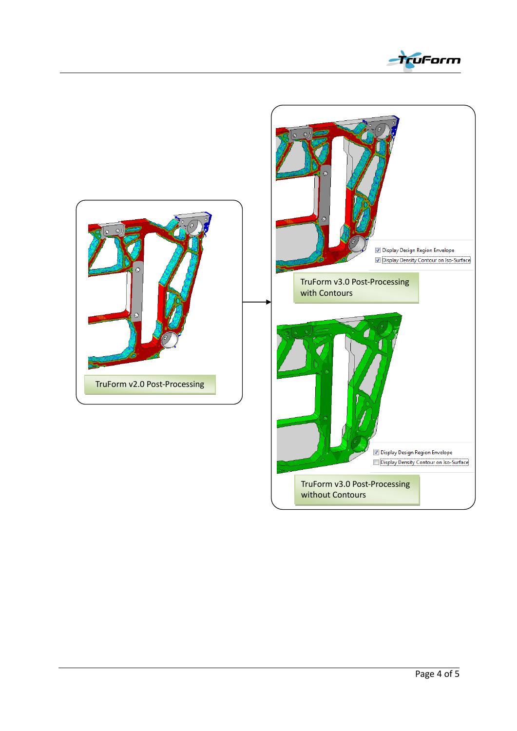